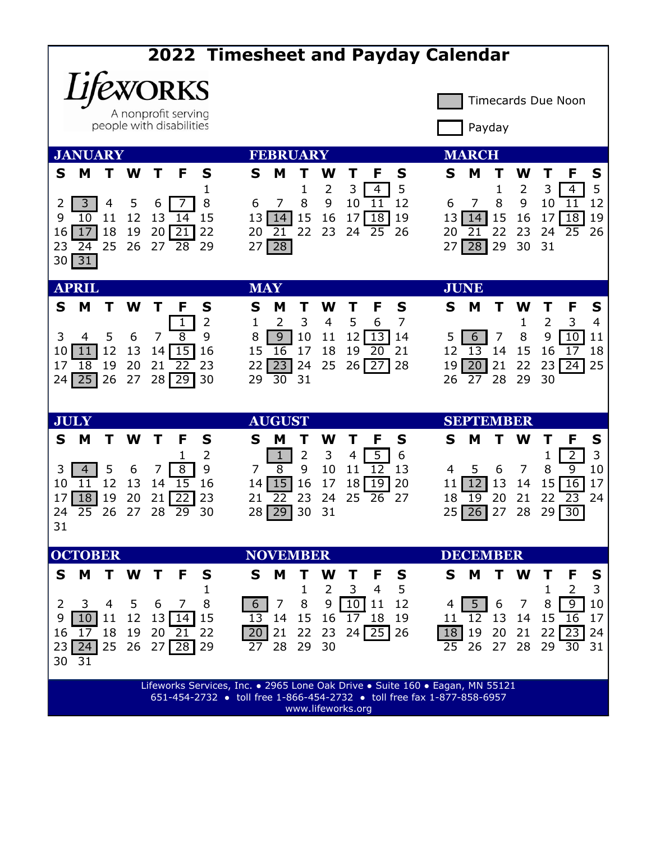| <b>2022 Timesheet and Payday Calendar</b>                                                                                                              |                                                                                                                                                                                |                                                                                                                                                                 |                                                                                                                                                             |                                                                                                |  |
|--------------------------------------------------------------------------------------------------------------------------------------------------------|--------------------------------------------------------------------------------------------------------------------------------------------------------------------------------|-----------------------------------------------------------------------------------------------------------------------------------------------------------------|-------------------------------------------------------------------------------------------------------------------------------------------------------------|------------------------------------------------------------------------------------------------|--|
| <b>EWORKS</b><br><b>Timecards Due Noon</b><br>A nonprofit serving<br>people with disabilities<br>Payday                                                |                                                                                                                                                                                |                                                                                                                                                                 |                                                                                                                                                             |                                                                                                |  |
| <b>JANUARY</b>                                                                                                                                         | <b>FEBRUARY</b>                                                                                                                                                                |                                                                                                                                                                 | <b>MARCH</b>                                                                                                                                                |                                                                                                |  |
| M<br>S<br>т<br>W<br>3<br>5<br>4<br>12<br>9<br>10<br>11<br>18<br>17<br>19<br>16<br>25<br>26<br>23<br>24                                                 | F<br>S<br>S<br>М<br>1<br>8<br>6<br>7<br>6<br>15<br>13<br>13<br>14<br>14<br>20<br>21<br>22<br>20<br>21<br>28<br>27<br>29<br>27<br>28                                            | W<br>S<br>F<br>5<br>2<br>3<br>1<br>$\overline{4}$<br>9<br>8<br>11<br>12<br>10<br>15<br>$\overline{18}$<br>16<br>17<br>19<br>22<br>23<br>24<br>25<br>26          | S<br>M<br>W<br>Τ<br>$\overline{2}$<br>3<br>1<br>9<br>8<br>10<br>6<br>15<br>16<br>13<br>14<br>17<br>22<br>21<br>23<br>20<br>24<br>29<br>31<br>28<br>30<br>27 | S<br>F<br>5<br>4<br>11<br>12<br>18<br>19<br>25<br>26                                           |  |
| 31<br>30<br><b>APRIL</b>                                                                                                                               | <b>MAY</b>                                                                                                                                                                     |                                                                                                                                                                 | <b>JUNE</b>                                                                                                                                                 |                                                                                                |  |
| S<br>M<br>W<br>Т                                                                                                                                       | F<br>S<br>S<br>М                                                                                                                                                               | W<br>F<br>S<br>Т                                                                                                                                                | S<br>W<br>M<br>Т                                                                                                                                            | F<br>S                                                                                         |  |
| 3<br>5<br>6<br>4<br>12<br>13<br>10<br>11<br>18<br>19<br>20<br>17<br>26<br>25<br>27<br>24                                                               | 2<br>2<br>1<br>1<br>$\overline{8}$<br>9<br>9<br>8<br>7<br>15<br>16<br>15<br>16<br>14<br>22<br>23<br>21<br>22<br>23<br>28<br>30<br>30<br>29<br>29                               | 3<br>7<br>5<br>$\overline{4}$<br>6<br>10<br>12<br>11<br>13<br>14<br>18<br>17<br>19<br>20<br>21<br>26<br>25<br>28<br>24<br>27<br>31                              | $\overline{2}$<br>1<br>9<br>7<br>8<br>5<br>6<br>$\overline{13}$<br>15<br>12<br>14<br>16<br>22<br>23<br>19<br>21<br>20<br>30<br>28<br>29<br>26<br>27         | 3<br>4<br>10<br>11<br>17<br>18<br>24<br>25                                                     |  |
| <b>JULY</b>                                                                                                                                            | <b>AUGUST</b>                                                                                                                                                                  |                                                                                                                                                                 | <b>SEPTEMBER</b>                                                                                                                                            |                                                                                                |  |
| S<br>M<br>т<br>W<br>5<br>3<br>6<br>$\overline{4}$<br>12<br>13<br>10<br>11<br>18<br>19<br>20<br>17<br>26<br>24<br>25<br>27<br>31                        | S<br>F<br>S<br>т<br>М<br>2<br>$\mathbf 1$<br>1<br>9<br>8<br>8<br>7<br>7<br>15<br>16<br>15<br>14<br>14<br>$\overline{22}$<br>21<br>23<br>21<br>22<br>28<br>29<br>30<br>28<br>29 | S<br>W<br>F<br>Т<br>Т<br>2<br>3<br>5<br>6<br>4<br>9<br>10<br>12<br>13<br>11<br>16<br>19<br>20<br>17<br>18<br>23<br>24<br>25<br>27<br>26<br>30<br>31             | S<br>W<br>м<br>Т<br>1<br>8<br>6<br>7<br>5<br>4<br>12<br>13<br>15<br>14<br>11<br>20<br>21<br>22<br>18<br>19<br>25<br>26<br>28<br>29<br>27                    | S<br>F<br>3<br>$\overline{2}$<br>$\overline{9}$<br>10<br>16<br>17<br>23<br>24<br>30            |  |
| <b>OCTOBER</b>                                                                                                                                         | <b>NOVEMBER</b>                                                                                                                                                                |                                                                                                                                                                 | <b>DECEMBER</b>                                                                                                                                             |                                                                                                |  |
| M<br>S<br>T<br>W<br>2<br>3<br>4<br>5<br>12<br>9<br>11<br>10 <sub>l</sub><br>18<br>19<br>17<br>16<br>23<br>24<br>25<br>26<br>30<br>31                   | M<br>S<br>т<br>F<br>S<br>1<br>8<br>6<br>7<br>6<br>7<br>$13$   14  <br>15<br>14<br>13<br>20<br>22<br>20<br>21<br>21<br>27<br> 28 <br>29<br>28<br>27                             | Τ<br>W<br>F<br>S<br>т<br>$\overline{2}$<br>3<br>5<br>4<br>1<br>9<br>10<br>8<br>11<br>12<br>15<br>16<br>17 18<br>19<br>22<br>23<br>$24$   25  <br>26<br>29<br>30 | M<br>S<br>Τ<br>W<br>т<br>1<br>6<br>8<br>5 <sup>5</sup><br>7<br>12<br>13<br>15<br>14<br>11<br>19<br>20<br>21<br>18<br>28<br>26<br>27<br>25                   | S<br>F<br>3<br>$\overline{2}$<br>- 9<br>10<br>-16<br>17<br>22<br> 23 <br>24<br>29<br>-30<br>31 |  |
| Lifeworks Services, Inc. . 2965 Lone Oak Drive . Suite 160 . Eagan, MN 55121<br>651-454-2732 • toll free 1-866-454-2732 • toll free fax 1-877-858-6957 |                                                                                                                                                                                |                                                                                                                                                                 |                                                                                                                                                             |                                                                                                |  |

www.lifeworks.org